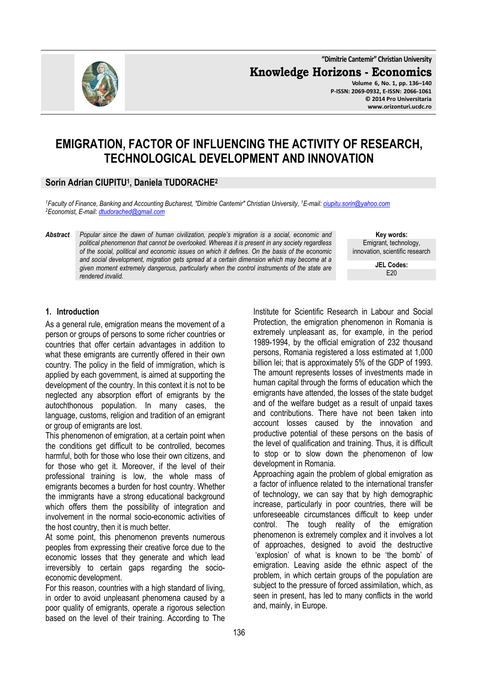**"Dimitrie Cantemir" Christian University**

**Knowledge Horizons - Economics**

**Volume 6, No. 1, pp. 136–140 P-ISSN: 2069-0932, E-ISSN: 2066-1061 © 2014 Pro Universitaria www.orizonturi.ucdc.ro**

# **EMIGRATION, FACTOR OF INFLUENCING THE ACTIVITY OF RESEARCH, TECHNOLOGICAL DEVELOPMENT AND INNOVATION**

## **Sorin Adrian CIUPITU<sup>1</sup> , Daniela TUDORACHE<sup>2</sup>**

*<sup>1</sup>Faculty of Finance, Banking and Accounting Bucharest, "Dimitrie Cantemir" Christian University, <sup>1</sup>E-mail: ciupitu.sorin@yahoo.com <sup>2</sup>Economist, E-mail: dtudorached@gmail.com* 

*Abstract Popular since the dawn of human civilization, people's migration is a social, economic and political phenomenon that cannot be overlooked. Whereas it is present in any society regardless of the social, political and economic issues on which it defines. On the basis of the economic and social development, migration gets spread at a certain dimension which may become at a given moment extremely dangerous, particularly when the control instruments of the state are rendered invalid.* 

**Key words:** Emigrant, technology, innovation, scientific research **JEL Codes:**

 $F20$ 

# **1. Introduction**

As a general rule, emigration means the movement of a person or groups of persons to some richer countries or countries that offer certain advantages in addition to what these emigrants are currently offered in their own country. The policy in the field of immigration, which is applied by each government, is aimed at supporting the development of the country. In this context it is not to be neglected any absorption effort of emigrants by the autochthonous population. In many cases, the language, customs, religion and tradition of an emigrant or group of emigrants are lost.

This phenomenon of emigration, at a certain point when the conditions get difficult to be controlled, becomes harmful, both for those who lose their own citizens, and for those who get it. Moreover, if the level of their professional training is low, the whole mass of emigrants becomes a burden for host country. Whether the immigrants have a strong educational background which offers them the possibility of integration and involvement in the normal socio-economic activities of the host country, then it is much better.

At some point, this phenomenon prevents numerous peoples from expressing their creative force due to the economic losses that they generate and which lead irreversibly to certain gaps regarding the socioeconomic development.

For this reason, countries with a high standard of living, in order to avoid unpleasant phenomena caused by a poor quality of emigrants, operate a rigorous selection based on the level of their training. According to The Institute for Scientific Research in Labour and Social Protection, the emigration phenomenon in Romania is extremely unpleasant as, for example, in the period 1989-1994, by the official emigration of 232 thousand persons, Romania registered a loss estimated at 1,000 billion lei; that is approximately 5% of the GDP of 1993. The amount represents losses of investments made in human capital through the forms of education which the emigrants have attended, the losses of the state budget and of the welfare budget as a result of unpaid taxes and contributions. There have not been taken into account losses caused by the innovation and productive potential of these persons on the basis of the level of qualification and training. Thus, it is difficult to stop or to slow down the phenomenon of low development in Romania. Approaching again the problem of global emigration as

a factor of influence related to the international transfer of technology, we can say that by high demographic increase, particularly in poor countries, there will be unforeseeable circumstances difficult to keep under control. The tough reality of the emigration phenomenon is extremely complex and it involves a lot of approaches, designed to avoid the destructive 'explosion' of what is known to be 'the bomb' of emigration. Leaving aside the ethnic aspect of the problem, in which certain groups of the population are subject to the pressure of forced assimilation, which, as seen in present, has led to many conflicts in the world and, mainly, in Europe.

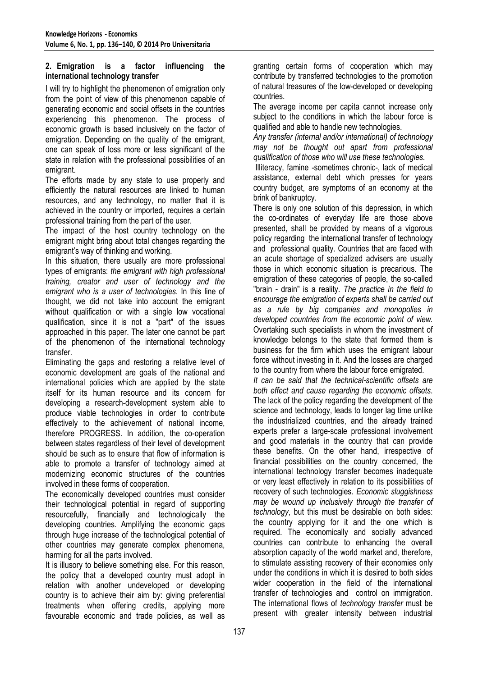#### **2. Emigration is a factor influencing the international technology transfer**

I will try to highlight the phenomenon of emigration only from the point of view of this phenomenon capable of generating economic and social offsets in the countries experiencing this phenomenon. The process of economic growth is based inclusively on the factor of emigration. Depending on the quality of the emigrant, one can speak of loss more or less significant of the state in relation with the professional possibilities of an emigrant.

The efforts made by any state to use properly and efficiently the natural resources are linked to human resources, and any technology, no matter that it is achieved in the country or imported, requires a certain professional training from the part of the user.

The impact of the host country technology on the emigrant might bring about total changes regarding the emigrant's way of thinking and working.

In this situation, there usually are more professional types of emigrants: *the emigrant with high professional training, creator and user of technology and the emigrant who is a user of technologies*. In this line of thought, we did not take into account the emigrant without qualification or with a single low vocational qualification, since it is not a "part" of the issues approached in this paper. The later one cannot be part of the phenomenon of the international technology transfer.

Eliminating the gaps and restoring a relative level of economic development are goals of the national and international policies which are applied by the state itself for its human resource and its concern for developing a research-development system able to produce viable technologies in order to contribute effectively to the achievement of national income, therefore PROGRESS. In addition, the co-operation between states regardless of their level of development should be such as to ensure that flow of information is able to promote a transfer of technology aimed at modernizing economic structures of the countries involved in these forms of cooperation.

The economically developed countries must consider their technological potential in regard of supporting resourcefully, financially and technologically the developing countries. Amplifying the economic gaps through huge increase of the technological potential of other countries may generate complex phenomena, harming for all the parts involved.

It is illusory to believe something else. For this reason, the policy that a developed country must adopt in relation with another undeveloped or developing country is to achieve their aim by: giving preferential treatments when offering credits, applying more favourable economic and trade policies, as well as

granting certain forms of cooperation which may contribute by transferred technologies to the promotion of natural treasures of the low-developed or developing countries.

The average income per capita cannot increase only subject to the conditions in which the labour force is qualified and able to handle new technologies.

*Any transfer (internal and/or international) of technology may not be thought out apart from professional qualification of those who will use these technologies.* 

 Illiteracy, famine -sometimes chronic-, lack of medical assistance, external debt which presses for years country budget, are symptoms of an economy at the brink of bankruptcy.

There is only one solution of this depression, in which the co-ordinates of everyday life are those above presented, shall be provided by means of a vigorous policy regarding the international transfer of technology and professional quality. Countries that are faced with an acute shortage of specialized advisers are usually those in which economic situation is precarious. The emigration of these categories of people, the so-called "brain - drain" is a reality. *The practice in the field to encourage the emigration of experts shall be carried out as a rule by big companies and monopolies in developed countries from the economic point of view.* Overtaking such specialists in whom the investment of knowledge belongs to the state that formed them is business for the firm which uses the emigrant labour force without investing in it. And the losses are charged to the country from where the labour force emigrated.

*It can be said that the technical-scientific offsets are both effect and cause regarding the economic offsets*. The lack of the policy regarding the development of the science and technology, leads to longer lag time unlike the industrialized countries, and the already trained experts prefer a large-scale professional involvement and good materials in the country that can provide these benefits. On the other hand, irrespective of financial possibilities on the country concerned, the international technology transfer becomes inadequate or very least effectively in relation to its possibilities of recovery of such technologies. *Economic sluggishness may be wound up inclusively through the transfer of technology*, but this must be desirable on both sides: the country applying for it and the one which is required. The economically and socially advanced countries can contribute to enhancing the overall absorption capacity of the world market and, therefore, to stimulate assisting recovery of their economies only under the conditions in which it is desired to both sides wider cooperation in the field of the international transfer of technologies and control on immigration. The international flows of *technology transfer* must be present with greater intensity between industrial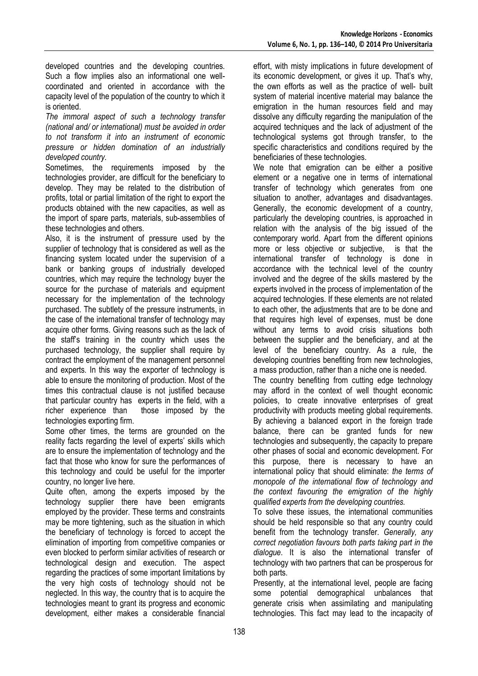developed countries and the developing countries. Such a flow implies also an informational one wellcoordinated and oriented in accordance with the capacity level of the population of the country to which it is oriented.

*The immoral aspect of such a technology transfer (national and/ or international) must be avoided in order to not transform it into an instrument of economic pressure or hidden domination of an industrially developed country.* 

Sometimes, the requirements imposed by the technologies provider, are difficult for the beneficiary to develop. They may be related to the distribution of profits, total or partial limitation of the right to export the products obtained with the new capacities, as well as the import of spare parts, materials, sub-assemblies of these technologies and others.

Also, it is the instrument of pressure used by the supplier of technology that is considered as well as the financing system located under the supervision of a bank or banking groups of industrially developed countries, which may require the technology buyer the source for the purchase of materials and equipment necessary for the implementation of the technology purchased. The subtlety of the pressure instruments, in the case of the international transfer of technology may acquire other forms. Giving reasons such as the lack of the staff's training in the country which uses the purchased technology, the supplier shall require by contract the employment of the management personnel and experts. In this way the exporter of technology is able to ensure the monitoring of production. Most of the times this contractual clause is not justified because that particular country has experts in the field, with a richer experience than those imposed by the technologies exporting firm.

Some other times, the terms are grounded on the reality facts regarding the level of experts' skills which are to ensure the implementation of technology and the fact that those who know for sure the performances of this technology and could be useful for the importer country, no longer live here.

Quite often, among the experts imposed by the technology supplier there have been emigrants employed by the provider. These terms and constraints may be more tightening, such as the situation in which the beneficiary of technology is forced to accept the elimination of importing from competitive companies or even blocked to perform similar activities of research or technological design and execution. The aspect regarding the practices of some important limitations by the very high costs of technology should not be neglected. In this way, the country that is to acquire the technologies meant to grant its progress and economic development, either makes a considerable financial

effort, with misty implications in future development of its economic development, or gives it up. That's why, the own efforts as well as the practice of well- built system of material incentive material may balance the emigration in the human resources field and may dissolve any difficulty regarding the manipulation of the acquired techniques and the lack of adjustment of the technological systems got through transfer, to the specific characteristics and conditions required by the beneficiaries of these technologies.

We note that emigration can be either a positive element or a negative one in terms of international transfer of technology which generates from one situation to another, advantages and disadvantages. Generally, the economic development of a country, particularly the developing countries, is approached in relation with the analysis of the big issued of the contemporary world. Apart from the different opinions more or less objective or subjective, is that the international transfer of technology is done in accordance with the technical level of the country involved and the degree of the skills mastered by the experts involved in the process of implementation of the acquired technologies. If these elements are not related to each other, the adjustments that are to be done and that requires high level of expenses, must be done without any terms to avoid crisis situations both between the supplier and the beneficiary, and at the level of the beneficiary country. As a rule, the developing countries benefiting from new technologies, a mass production, rather than a niche one is needed.

The country benefiting from cutting edge technology may afford in the context of well thought economic policies, to create innovative enterprises of great productivity with products meeting global requirements. By achieving a balanced export in the foreign trade balance, there can be granted funds for new technologies and subsequently, the capacity to prepare other phases of social and economic development. For this purpose, there is necessary to have an international policy that should eliminate: *the terms of monopole of the international flow of technology and the context favouring the emigration of the highly qualified experts from the developing countries.*

To solve these issues, the international communities should be held responsible so that any country could benefit from the technology transfer. *Generally, any correct negotiation favours both parts taking part in the dialogue*. It is also the international transfer of technology with two partners that can be prosperous for both parts.

Presently, at the international level, people are facing some potential demographical unbalances that generate crisis when assimilating and manipulating technologies. This fact may lead to the incapacity of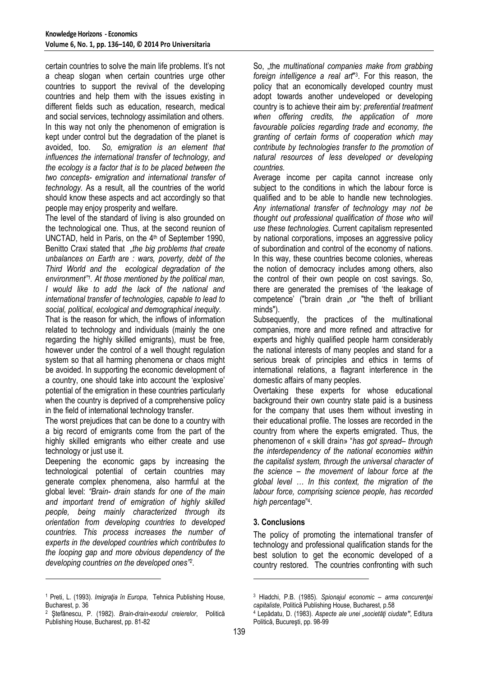certain countries to solve the main life problems. It's not a cheap slogan when certain countries urge other countries to support the revival of the developing countries and help them with the issues existing in different fields such as education, research, medical and social services, technology assimilation and others. In this way not only the phenomenon of emigration is kept under control but the degradation of the planet is avoided, too. *So, emigration is an element that influences the international transfer of technology, and the ecology is a factor that is to be placed between the two concepts- emigration and international transfer of technology.* As a result, all the countries of the world should know these aspects and act accordingly so that people may enjoy prosperity and welfare.

The level of the standard of living is also grounded on the technological one. Thus, at the second reunion of UNCTAD, held in Paris, on the 4<sup>th</sup> of September 1990, Benitto Craxi stated that "*the big problems that create unbalances on Earth are : wars, poverty, debt of the Third World and the ecological degradation of the environment"<sup>1</sup> . At those mentioned by the political man, I would like to add the lack of the national and international transfer of technologies, capable to lead to social, political, ecological and demographical inequity.*

That is the reason for which, the inflows of information related to technology and individuals (mainly the one regarding the highly skilled emigrants), must be free, however under the control of a well thought regulation system so that all harming phenomena or chaos might be avoided. In supporting the economic development of a country, one should take into account the 'explosive' potential of the emigration in these countries particularly when the country is deprived of a comprehensive policy in the field of international technology transfer.

The worst prejudices that can be done to a country with a big record of emigrants come from the part of the highly skilled emigrants who either create and use technology or just use it.

Deepening the economic gaps by increasing the technological potential of certain countries may generate complex phenomena, also harmful at the global level: *"Brain- drain stands for one of the main and important trend of emigration of highly skilled people, being mainly characterized through its orientation from developing countries to developed countries. This process increases the number of experts in the developed countries which contributes to the looping gap and more obvious dependency of the developing countries on the developed ones"<sup>2</sup>* .

l

So, "the *multinational companies make from grabbing foreign intelligence a real art*" 3 . For this reason, the policy that an economically developed country must adopt towards another undeveloped or developing country is to achieve their aim by: *preferential treatment when offering credits, the application of more favourable policies regarding trade and economy, the granting of certain forms of cooperation which may contribute by technologies transfer to the promotion of natural resources of less developed or developing countries.*

Average income per capita cannot increase only subject to the conditions in which the labour force is qualified and to be able to handle new technologies. *Any international transfer of technology may not be thought out professional qualification of those who will use these technologies.* Current capitalism represented by national corporations, imposes an aggressive policy of subordination and control of the economy of nations. In this way, these countries become colonies, whereas the notion of democracy includes among others, also the control of their own people on cost savings. So, there are generated the premises of 'the leakage of competence' ("brain drain .or "the theft of brilliant minds").

Subsequently, the practices of the multinational companies, more and more refined and attractive for experts and highly qualified people harm considerably the national interests of many peoples and stand for a serious break of principles and ethics in terms of international relations, a flagrant interference in the domestic affairs of many peoples.

Overtaking these experts for whose educational background their own country state paid is a business for the company that uses them without investing in their educational profile. The losses are recorded in the country from where the experts emigrated. Thus, the phenomenon of « skill drain» "*has got spread– through the interdependency of the national economies within the capitalist system, through the universal character of the science – the movement of labour force at the global level … In this context, the migration of the labour force, comprising science people, has recorded high percentage*" 4 .

# **3. Conclusions**

The policy of promoting the international transfer of technology and professional qualification stands for the best solution to get the economic developed of a country restored. The countries confronting with such

l

<sup>1</sup> Preti, L. (1993). *Imigraţia în Europa*, Tehnica Publishing House, Bucharest, p. 36

<sup>2</sup> Ştefănescu, P. (1982). *Brain-drain-exodul creierelor*, Politică Publishing House, Bucharest, pp. 81-82

<sup>3</sup> Hladchi, P.B. (1985). *Spionajul economic – arma concurenţei capitaliste*, Politică Publishing House, Bucharest, p.58

<sup>4</sup> Lepădatu, D. (1983). *Aspecte ale unei "societăţi ciudate"*, Editura Politică, Bucureşti, pp. 98-99